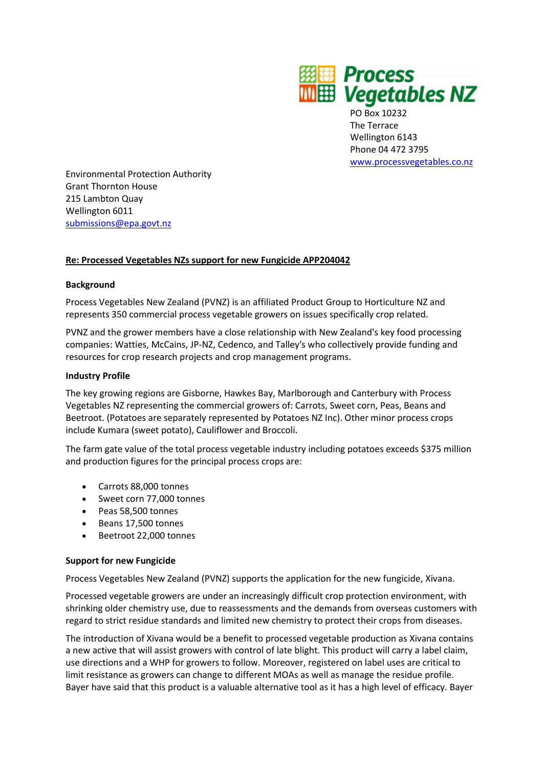

PO Box 10232 The Terrace Wellington 6143 Phone 04 472 3795 www.processvegetables.co.nz

Environmental Protection Authority Grant Thornton House 215 Lambton Quay Wellington 6011 submissions@epa.govt.nz

## **Re: Processed Vegetables NZs support for new Fungicide APP204042**

## **Background**

Process Vegetables New Zealand (PVNZ) is an affiliated Product Group to Horticulture NZ and represents 350 commercial process vegetable growers on issues specifically crop related.

PVNZ and the grower members have a close relationship with New Zealand's key food processing companies: Watties, McCains, JP-NZ, Cedenco, and Talley's who collectively provide funding and resources for crop research projects and crop management programs.

## **Industry Profile**

The key growing regions are Gisborne, Hawkes Bay, Marlborough and Canterbury with Process Vegetables NZ representing the commercial growers of: Carrots, Sweet corn, Peas, Beans and Beetroot. (Potatoes are separately represented by Potatoes NZ Inc). Other minor process crops include Kumara (sweet potato), Cauliflower and Broccoli.

The farm gate value of the total process vegetable industry including potatoes exceeds \$375 million and production figures for the principal process crops are:

- Carrots 88,000 tonnes
- Sweet corn 77,000 tonnes
- Peas 58,500 tonnes
- Beans 17,500 tonnes
- Beetroot 22,000 tonnes

## **Support for new Fungicide**

Process Vegetables New Zealand (PVNZ) supports the application for the new fungicide, Xivana.

Processed vegetable growers are under an increasingly difficult crop protection environment, with shrinking older chemistry use, due to reassessments and the demands from overseas customers with regard to strict residue standards and limited new chemistry to protect their crops from diseases.

The introduction of Xivana would be a benefit to processed vegetable production as Xivana contains a new active that will assist growers with control of late blight. This product will carry a label claim, use directions and a WHP for growers to follow. Moreover, registered on label uses are critical to limit resistance as growers can change to different MOAs as well as manage the residue profile. Bayer have said that this product is a valuable alternative tool as it has a high level of efficacy. Bayer